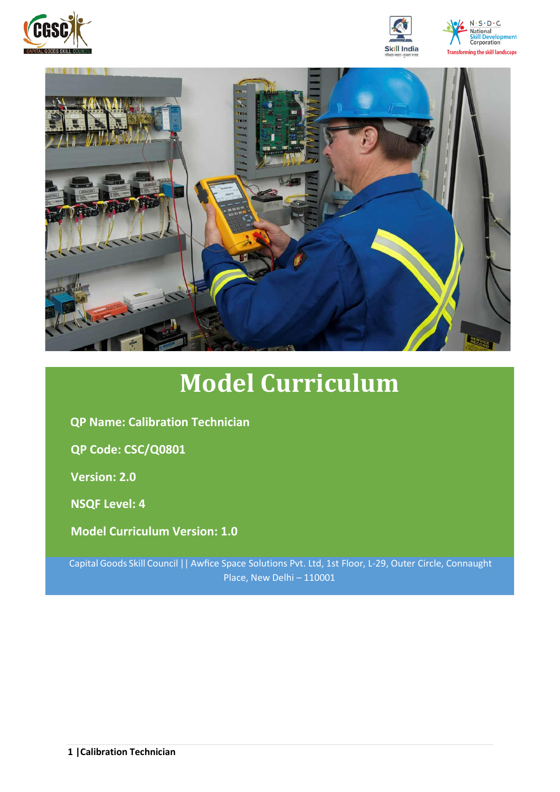







# **Model Curriculum**

**QP Name: Calibration Technician** 

**QP Code: CSC/Q0801**

**Version: 2.0**

**NSQF Level: 4**

**Model Curriculum Version: 1.0**

Capital Goods Skill Council || Awfice Space Solutions Pvt. Ltd, 1st Floor, L-29, Outer Circle, Connaught Place, New Delhi – 110001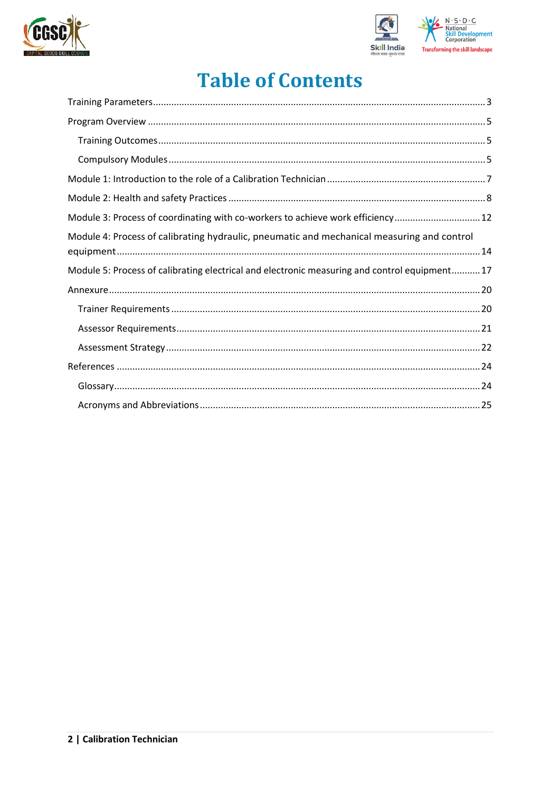



## **Table of Contents**

| Module 3: Process of coordinating with co-workers to achieve work efficiency 12               |
|-----------------------------------------------------------------------------------------------|
| Module 4: Process of calibrating hydraulic, pneumatic and mechanical measuring and control    |
| Module 5: Process of calibrating electrical and electronic measuring and control equipment 17 |
|                                                                                               |
|                                                                                               |
|                                                                                               |
|                                                                                               |
|                                                                                               |
|                                                                                               |
|                                                                                               |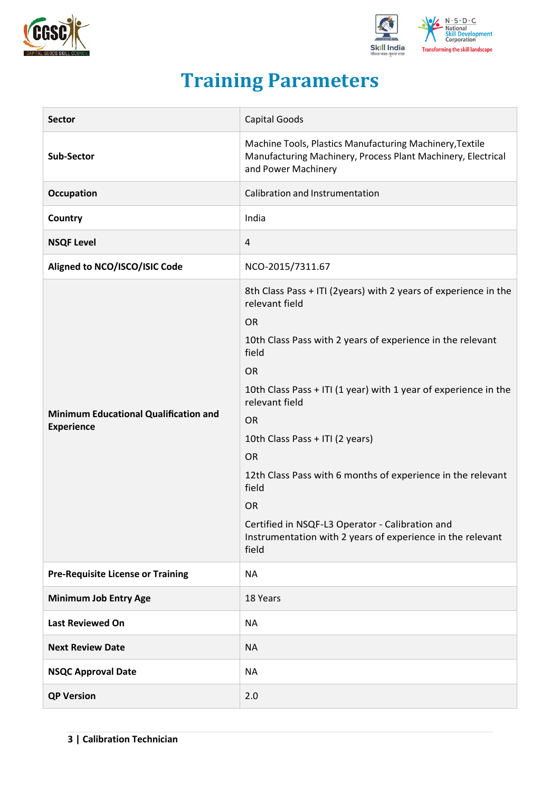



## **Training Parameters**

<span id="page-2-0"></span>

| <b>Sector</b>                                                     | Capital Goods                                                                                                                                                                                                                                                                                                                                                                                                                                                                |  |  |  |
|-------------------------------------------------------------------|------------------------------------------------------------------------------------------------------------------------------------------------------------------------------------------------------------------------------------------------------------------------------------------------------------------------------------------------------------------------------------------------------------------------------------------------------------------------------|--|--|--|
| Sub-Sector                                                        | Machine Tools, Plastics Manufacturing Machinery, Textile<br>Manufacturing Machinery, Process Plant Machinery, Electrical<br>and Power Machinery                                                                                                                                                                                                                                                                                                                              |  |  |  |
| Occupation                                                        | Calibration and Instrumentation                                                                                                                                                                                                                                                                                                                                                                                                                                              |  |  |  |
| Country                                                           | India                                                                                                                                                                                                                                                                                                                                                                                                                                                                        |  |  |  |
| <b>NSQF Level</b>                                                 | 4                                                                                                                                                                                                                                                                                                                                                                                                                                                                            |  |  |  |
| Aligned to NCO/ISCO/ISIC Code                                     | NCO-2015/7311.67                                                                                                                                                                                                                                                                                                                                                                                                                                                             |  |  |  |
| <b>Minimum Educational Qualification and</b><br><b>Experience</b> | 8th Class Pass + ITI (2years) with 2 years of experience in the<br>relevant field<br><b>OR</b><br>10th Class Pass with 2 years of experience in the relevant<br>field<br><b>OR</b><br>10th Class Pass + ITI (1 year) with 1 year of experience in the<br>relevant field<br><b>OR</b><br>10th Class Pass + ITI (2 years)<br><b>OR</b><br>12th Class Pass with 6 months of experience in the relevant<br>field<br><b>OR</b><br>Certified in NSQF-L3 Operator - Calibration and |  |  |  |
|                                                                   | Instrumentation with 2 years of experience in the relevant<br>field                                                                                                                                                                                                                                                                                                                                                                                                          |  |  |  |
| <b>Pre-Requisite License or Training</b>                          | <b>NA</b>                                                                                                                                                                                                                                                                                                                                                                                                                                                                    |  |  |  |
| <b>Minimum Job Entry Age</b>                                      | 18 Years                                                                                                                                                                                                                                                                                                                                                                                                                                                                     |  |  |  |
| <b>Last Reviewed On</b>                                           | <b>NA</b>                                                                                                                                                                                                                                                                                                                                                                                                                                                                    |  |  |  |
| <b>Next Review Date</b>                                           | <b>NA</b>                                                                                                                                                                                                                                                                                                                                                                                                                                                                    |  |  |  |
| <b>NSQC Approval Date</b>                                         | <b>NA</b>                                                                                                                                                                                                                                                                                                                                                                                                                                                                    |  |  |  |
| <b>QP Version</b>                                                 | 2.0                                                                                                                                                                                                                                                                                                                                                                                                                                                                          |  |  |  |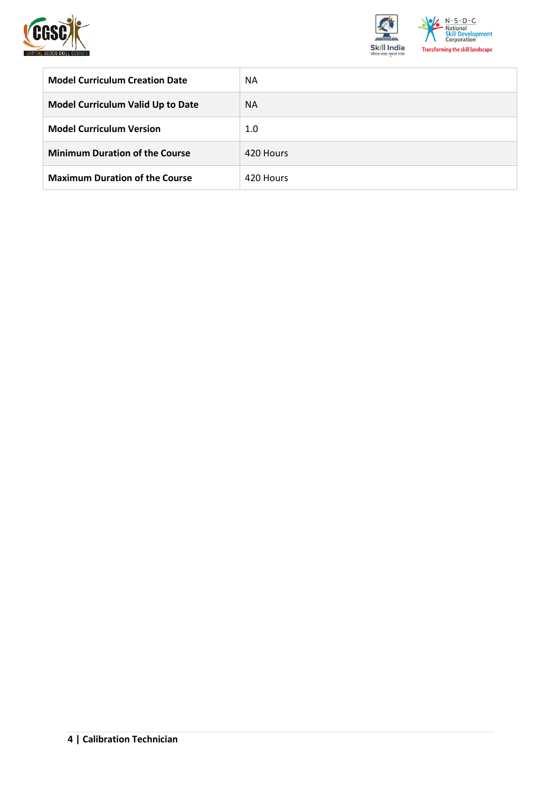



| <b>Model Curriculum Creation Date</b>    | <b>NA</b> |
|------------------------------------------|-----------|
| <b>Model Curriculum Valid Up to Date</b> | <b>NA</b> |
| <b>Model Curriculum Version</b>          | 1.0       |
| <b>Minimum Duration of the Course</b>    | 420 Hours |
| <b>Maximum Duration of the Course</b>    | 420 Hours |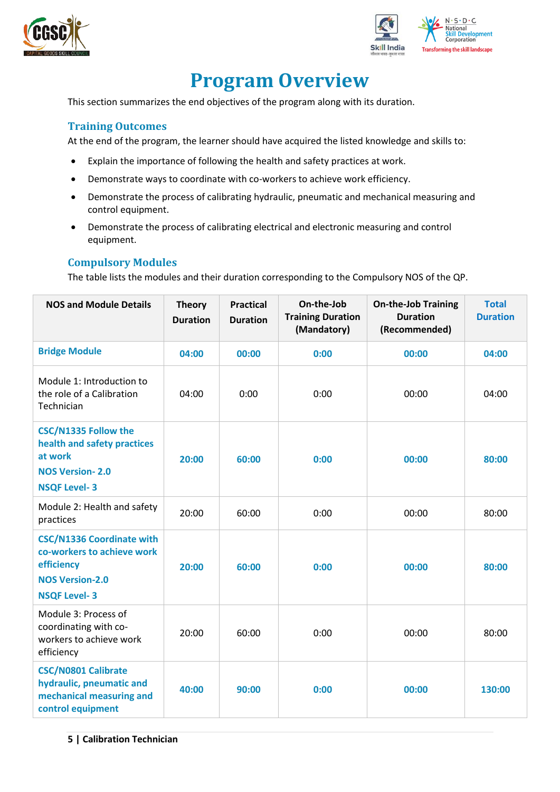



## **Program Overview**

<span id="page-4-0"></span>This section summarizes the end objectives of the program along with its duration.

#### <span id="page-4-1"></span>**Training Outcomes**

At the end of the program, the learner should have acquired the listed knowledge and skills to:

- Explain the importance of following the health and safety practices at work.
- Demonstrate ways to coordinate with co-workers to achieve work efficiency.
- Demonstrate the process of calibrating hydraulic, pneumatic and mechanical measuring and control equipment.
- Demonstrate the process of calibrating electrical and electronic measuring and control equipment.

#### <span id="page-4-2"></span>**Compulsory Modules**

The table lists the modules and their duration corresponding to the Compulsory NOS of the QP.

| <b>NOS and Module Details</b>                                                                                                 | <b>Theory</b><br><b>Duration</b> | <b>Practical</b><br><b>Duration</b> | On-the-Job<br><b>Training Duration</b><br>(Mandatory) | <b>On-the-Job Training</b><br><b>Duration</b><br>(Recommended) | <b>Total</b><br><b>Duration</b> |
|-------------------------------------------------------------------------------------------------------------------------------|----------------------------------|-------------------------------------|-------------------------------------------------------|----------------------------------------------------------------|---------------------------------|
| <b>Bridge Module</b>                                                                                                          | 04:00                            | 00:00                               | 0:00                                                  | 00:00                                                          | 04:00                           |
| Module 1: Introduction to<br>the role of a Calibration<br>Technician                                                          | 04:00                            | 0:00                                | 0:00                                                  | 00:00                                                          | 04:00                           |
| <b>CSC/N1335 Follow the</b><br>health and safety practices<br>at work<br><b>NOS Version-2.0</b><br><b>NSQF Level-3</b>        | 20:00                            | 60:00                               | 0:00                                                  | 00:00                                                          | 80:00                           |
| Module 2: Health and safety<br>practices                                                                                      | 20:00                            | 60:00                               | 0:00                                                  | 00:00                                                          | 80:00                           |
| <b>CSC/N1336 Coordinate with</b><br>co-workers to achieve work<br>efficiency<br><b>NOS Version-2.0</b><br><b>NSQF Level-3</b> | 20:00                            | 60:00                               | 0:00                                                  | 00:00                                                          | 80:00                           |
| Module 3: Process of<br>coordinating with co-<br>workers to achieve work<br>efficiency                                        | 20:00                            | 60:00                               | 0:00                                                  | 00:00                                                          | 80:00                           |
| <b>CSC/N0801 Calibrate</b><br>hydraulic, pneumatic and<br>mechanical measuring and<br>control equipment                       | 40:00                            | 90:00                               | 0:00                                                  | 00:00                                                          | 130:00                          |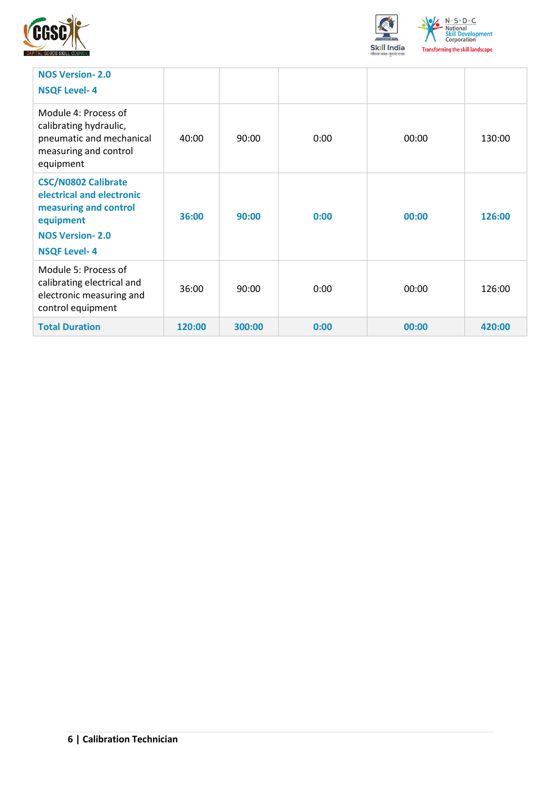



| <b>NOS Version-2.0</b><br><b>NSQF Level-4</b>                                                                                                  |        |        |      |       |        |
|------------------------------------------------------------------------------------------------------------------------------------------------|--------|--------|------|-------|--------|
| Module 4: Process of<br>calibrating hydraulic,<br>pneumatic and mechanical<br>measuring and control<br>equipment                               | 40:00  | 90:00  | 0:00 | 00:00 | 130:00 |
| <b>CSC/N0802 Calibrate</b><br>electrical and electronic<br>measuring and control<br>equipment<br><b>NOS Version-2.0</b><br><b>NSQF Level-4</b> | 36:00  | 90:00  | 0:00 | 00:00 | 126:00 |
| Module 5: Process of<br>calibrating electrical and<br>electronic measuring and<br>control equipment                                            | 36:00  | 90:00  | 0:00 | 00:00 | 126:00 |
| <b>Total Duration</b>                                                                                                                          | 120:00 | 300:00 | 0:00 | 00:00 | 420:00 |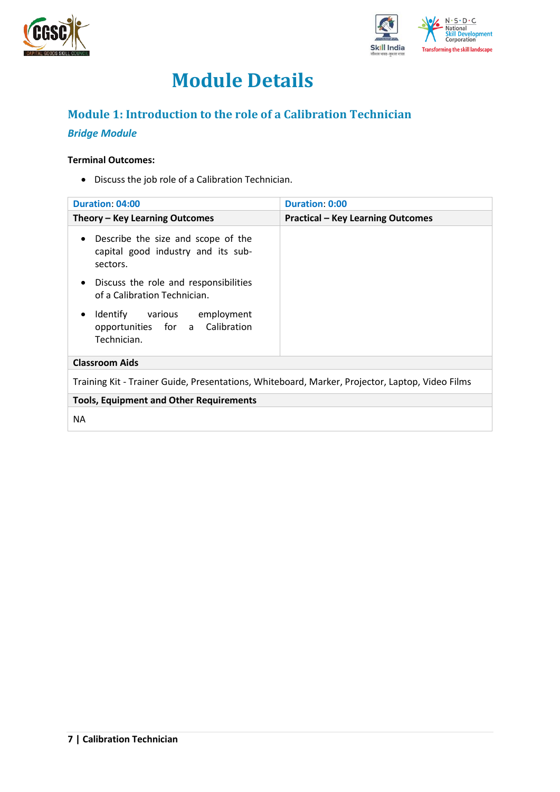



## **Module Details**

### <span id="page-6-0"></span>**Module 1: Introduction to the role of a Calibration Technician**

#### *Bridge Module*

#### **Terminal Outcomes:**

• Discuss the job role of a Calibration Technician.

| <b>Duration: 04:00</b>                                                                            | <b>Duration: 0:00</b>                    |  |  |  |  |
|---------------------------------------------------------------------------------------------------|------------------------------------------|--|--|--|--|
| Theory – Key Learning Outcomes                                                                    | <b>Practical - Key Learning Outcomes</b> |  |  |  |  |
| Describe the size and scope of the<br>$\bullet$<br>capital good industry and its sub-<br>sectors. |                                          |  |  |  |  |
| Discuss the role and responsibilities<br>$\bullet$<br>of a Calibration Technician.                |                                          |  |  |  |  |
| Identify various employment<br>٠<br>opportunities for a Calibration<br>Technician.                |                                          |  |  |  |  |
| <b>Classroom Aids</b>                                                                             |                                          |  |  |  |  |
| Training Kit - Trainer Guide, Presentations, Whiteboard, Marker, Projector, Laptop, Video Films   |                                          |  |  |  |  |
| <b>Tools, Equipment and Other Requirements</b>                                                    |                                          |  |  |  |  |
| ΝA                                                                                                |                                          |  |  |  |  |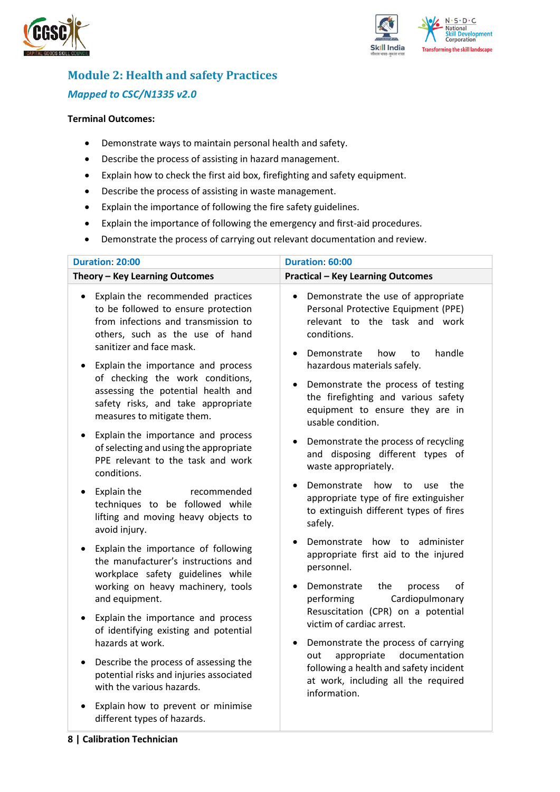



## <span id="page-7-0"></span>**Module 2: Health and safety Practices** *Mapped to CSC/N1335 v2.0*

#### **Terminal Outcomes:**

- Demonstrate ways to maintain personal health and safety.
- Describe the process of assisting in hazard management.
- Explain how to check the first aid box, firefighting and safety equipment.
- Describe the process of assisting in waste management.
- Explain the importance of following the fire safety guidelines.
- Explain the importance of following the emergency and first-aid procedures.
- Demonstrate the process of carrying out relevant documentation and review.

| Duration: 20:00                                                                                                                                                                                                                   | Duration: 60:00                                                                                                                                                                                             |
|-----------------------------------------------------------------------------------------------------------------------------------------------------------------------------------------------------------------------------------|-------------------------------------------------------------------------------------------------------------------------------------------------------------------------------------------------------------|
| Theory - Key Learning Outcomes                                                                                                                                                                                                    | <b>Practical - Key Learning Outcomes</b>                                                                                                                                                                    |
| Explain the recommended practices<br>$\bullet$<br>to be followed to ensure protection<br>from infections and transmission to<br>others, such as the use of hand<br>sanitizer and face mask.<br>Explain the importance and process | Demonstrate the use of appropriate<br>$\bullet$<br>Personal Protective Equipment (PPE)<br>relevant to the task and work<br>conditions.<br>Demonstrate<br>handle<br>how<br>to<br>hazardous materials safely. |
| of checking the work conditions,<br>assessing the potential health and<br>safety risks, and take appropriate<br>measures to mitigate them.                                                                                        | Demonstrate the process of testing<br>$\bullet$<br>the firefighting and various safety<br>equipment to ensure they are in<br>usable condition.                                                              |
| Explain the importance and process<br>$\bullet$<br>of selecting and using the appropriate<br>PPE relevant to the task and work<br>conditions.                                                                                     | Demonstrate the process of recycling<br>٠<br>and disposing different types of<br>waste appropriately.                                                                                                       |
| Explain the<br>recommended<br>$\bullet$<br>techniques to be followed while<br>lifting and moving heavy objects to<br>avoid injury.                                                                                                | Demonstrate<br>how<br>the<br>to<br>use<br>appropriate type of fire extinguisher<br>to extinguish different types of fires<br>safely.                                                                        |
| Explain the importance of following<br>$\bullet$<br>the manufacturer's instructions and<br>workplace safety guidelines while                                                                                                      | Demonstrate how to administer<br>appropriate first aid to the injured<br>personnel.                                                                                                                         |
| working on heavy machinery, tools<br>and equipment.                                                                                                                                                                               | Demonstrate<br>the<br>οf<br>process<br>$\bullet$<br>Cardiopulmonary<br>performing                                                                                                                           |
| Explain the importance and process<br>٠<br>of identifying existing and potential<br>hazards at work.                                                                                                                              | Resuscitation (CPR) on a potential<br>victim of cardiac arrest.                                                                                                                                             |
| Describe the process of assessing the<br>$\bullet$<br>potential risks and injuries associated<br>with the various hazards.                                                                                                        | Demonstrate the process of carrying<br>٠<br>documentation<br>appropriate<br>out<br>following a health and safety incident<br>at work, including all the required<br>information.                            |
| Explain how to prevent or minimise<br>different types of hazards.                                                                                                                                                                 |                                                                                                                                                                                                             |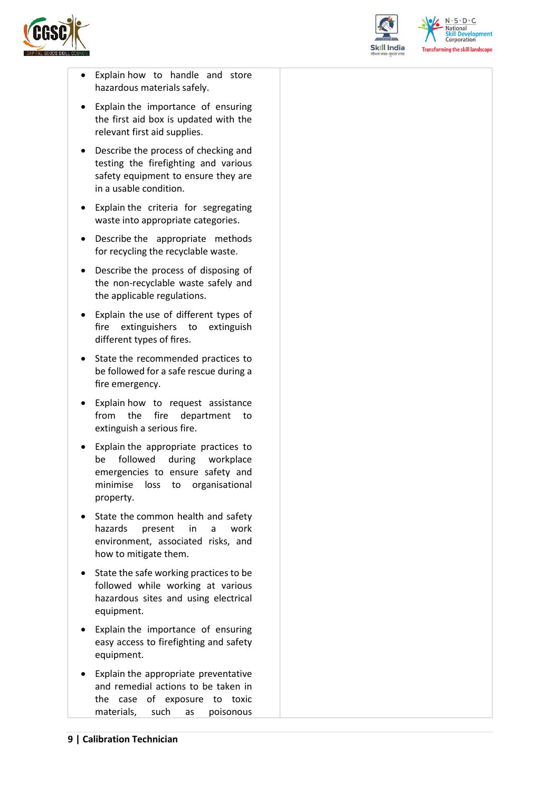



 $N.5.0.6$ National **Skill Development**<br>Corporation **Transforming the skill landscape** 

- Explain how to handle and store hazardous materials safely.
- Explain the importance of ensuring the first aid box is updated with the relevant first aid supplies.
- Describe the process of checking and testing the firefighting and various safety equipment to ensure they are in a usable condition.
- Explain the criteria for segregating waste into appropriate categories.
- Describe the appropriate methods for recycling the recyclable waste.
- Describe the process of disposing of the non-recyclable waste safely and the applicable regulations.
- Explain the use of different types of fire extinguishers to extinguish different types of fires.
- State the recommended practices to be followed for a safe rescue during a fire emergency.
- Explain how to request assistance from the fire department to extinguish a serious fire.
- Explain the appropriate practices to be followed during workplace emergencies to ensure safety and minimise loss to organisational property.
- State the common health and safety hazards present in a work environment, associated risks, and how to mitigate them.
- State the safe working practices to be followed while working at various hazardous sites and using electrical equipment.
- Explain the importance of ensuring easy access to firefighting and safety equipment.
- Explain the appropriate preventative and remedial actions to be taken in the case of exposure to toxic materials, such as poisonous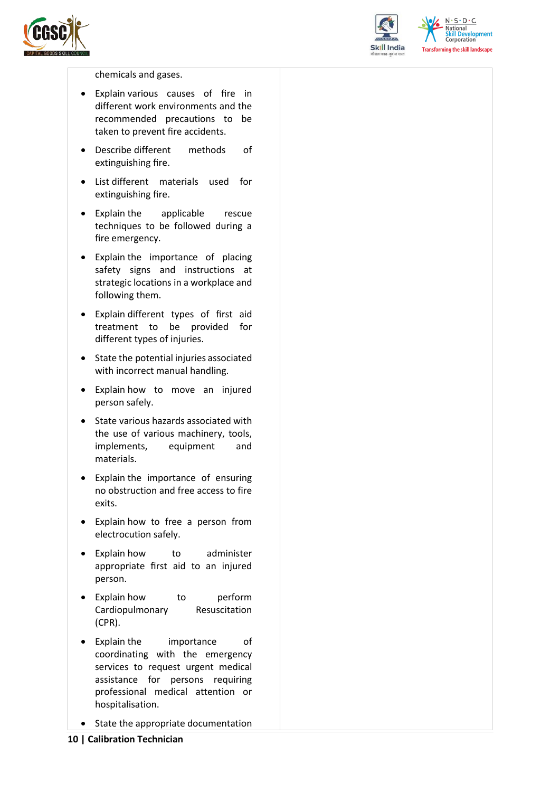



 $N \cdot S \cdot D \cdot C$ National **Skill Development**<br>Corporation **Transforming the skill landscape** 

chemicals and gases.

- Explain various causes of fire in different work environments and the recommended precautions to be taken to prevent fire accidents.
- Describe different methods of extinguishing fire.
- List different materials used for extinguishing fire.
- Explain the applicable rescue techniques to be followed during a fire emergency.
- Explain the importance of placing safety signs and instructions at strategic locations in a workplace and following them.
- Explain different types of first aid treatment to be provided for different types of injuries.
- State the potential injuries associated with incorrect manual handling.
- Explain how to move an injured person safely.
- State various hazards associated with the use of various machinery, tools, implements, equipment and materials.
- Explain the importance of ensuring no obstruction and free access to fire exits.
- Explain how to free a person from electrocution safely.
- Explain how to administer appropriate first aid to an injured person.
- Explain how to perform Cardiopulmonary Resuscitation (CPR).
- Explain the importance of coordinating with the emergency services to request urgent medical assistance for persons requiring professional medical attention or hospitalisation.
- State the appropriate documentation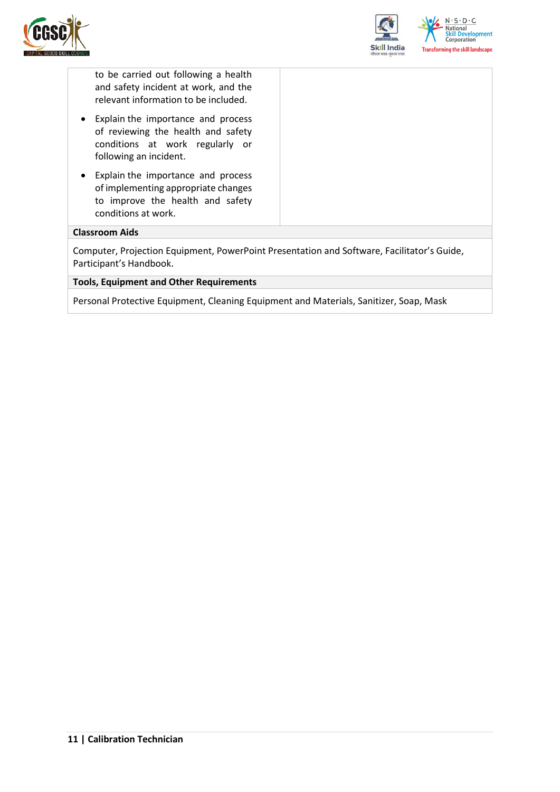



to be carried out following a health and safety incident at work, and the relevant information to be included.

- Explain the importance and process of reviewing the health and safety conditions at work regularly or following an incident.
- Explain the importance and process of implementing appropriate changes to improve the health and safety conditions at work.

#### **Classroom Aids**

Computer, Projection Equipment, PowerPoint Presentation and Software, Facilitator's Guide, Participant's Handbook.

#### **Tools, Equipment and Other Requirements**

Personal Protective Equipment, Cleaning Equipment and Materials, Sanitizer, Soap, Mask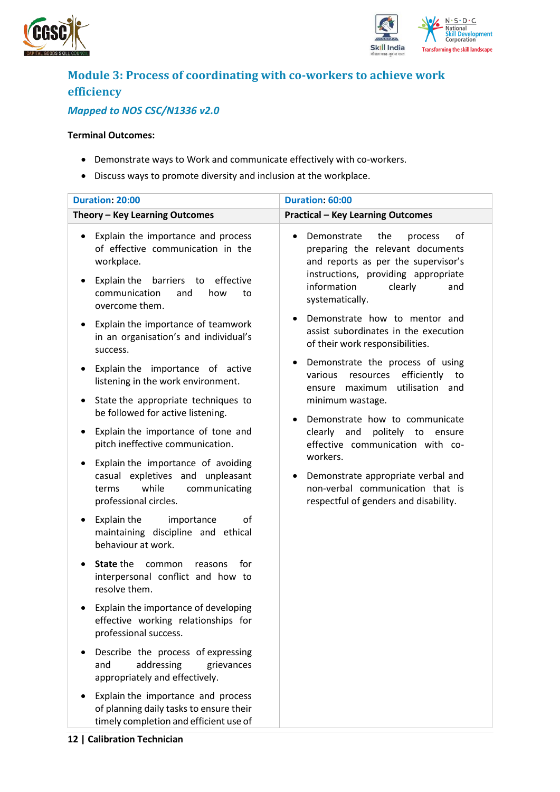



## <span id="page-11-0"></span>**Module 3: Process of coordinating with co-workers to achieve work efficiency**

### *Mapped to NOS CSC/N1336 v2.0*

#### **Terminal Outcomes:**

- Demonstrate ways to Work and communicate effectively with co-workers.
- Discuss ways to promote diversity and inclusion at the workplace.

| <b>Duration: 20:00</b>                                                                                                                                                                                    | Duration: 60:00                                                                                                                                                                                           |
|-----------------------------------------------------------------------------------------------------------------------------------------------------------------------------------------------------------|-----------------------------------------------------------------------------------------------------------------------------------------------------------------------------------------------------------|
| Theory - Key Learning Outcomes                                                                                                                                                                            | <b>Practical - Key Learning Outcomes</b>                                                                                                                                                                  |
| Explain the importance and process<br>٠<br>of effective communication in the<br>workplace.<br>Explain the<br>barriers to<br>effective<br>$\bullet$<br>communication<br>and<br>how<br>to<br>overcome them. | Demonstrate<br>the<br>of<br>process<br>preparing the relevant documents<br>and reports as per the supervisor's<br>instructions, providing appropriate<br>information<br>clearly<br>and<br>systematically. |
| Explain the importance of teamwork<br>$\bullet$<br>in an organisation's and individual's<br>success.                                                                                                      | Demonstrate how to mentor and<br>assist subordinates in the execution<br>of their work responsibilities.                                                                                                  |
| Explain the importance of active<br>$\bullet$<br>listening in the work environment.                                                                                                                       | Demonstrate the process of using<br>efficiently<br>various<br>resources<br>to<br>utilisation and<br>ensure maximum                                                                                        |
| State the appropriate techniques to<br>٠<br>be followed for active listening.                                                                                                                             | minimum wastage.<br>Demonstrate how to communicate                                                                                                                                                        |
| Explain the importance of tone and<br>٠<br>pitch ineffective communication.                                                                                                                               | clearly and<br>politely to ensure<br>effective communication with co-                                                                                                                                     |
| Explain the importance of avoiding<br>٠<br>casual expletives and unpleasant<br>while<br>communicating<br>terms<br>professional circles.                                                                   | workers.<br>Demonstrate appropriate verbal and<br>non-verbal communication that is<br>respectful of genders and disability.                                                                               |
| Explain the<br>importance<br>οf<br>٠<br>maintaining discipline and ethical<br>behaviour at work.                                                                                                          |                                                                                                                                                                                                           |
| State the<br>common<br>for<br>reasons<br>$\bullet$<br>interpersonal conflict and how to<br>resolve them.                                                                                                  |                                                                                                                                                                                                           |
| Explain the importance of developing<br>effective working relationships for<br>professional success.                                                                                                      |                                                                                                                                                                                                           |
| Describe the process of expressing<br>addressing<br>and<br>grievances<br>appropriately and effectively.                                                                                                   |                                                                                                                                                                                                           |
| Explain the importance and process<br>of planning daily tasks to ensure their<br>timely completion and efficient use of                                                                                   |                                                                                                                                                                                                           |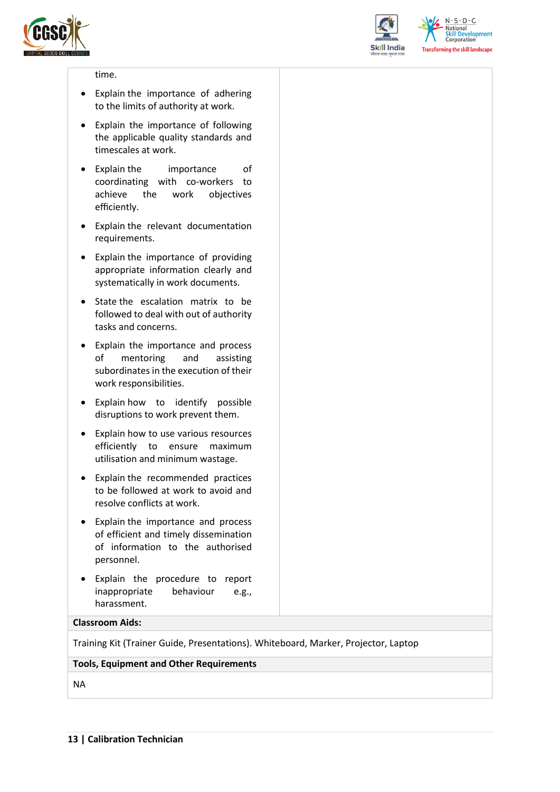



 $N.5.0.6$ **National Skill Development**<br>Corporation **Transforming the skill landscape** 

#### time.

- Explain the importance of adhering to the limits of authority at work.
- Explain the importance of following the applicable quality standards and timescales at work.
- Explain the importance of coordinating with co-workers to achieve the work objectives efficiently.
- Explain the relevant documentation requirements.
- Explain the importance of providing appropriate information clearly and systematically in work documents.
- State the escalation matrix to be followed to deal with out of authority tasks and concerns.
- Explain the importance and process of mentoring and assisting subordinates in the execution of their work responsibilities.
- Explain how to identify possible disruptions to work prevent them.
- Explain how to use various resources efficiently to ensure maximum utilisation and minimum wastage.
- Explain the recommended practices to be followed at work to avoid and resolve conflicts at work.
- Explain the importance and process of efficient and timely dissemination of information to the authorised personnel.
- Explain the procedure to report inappropriate behaviour e.g., harassment.

#### **Classroom Aids:**

Training Kit (Trainer Guide, Presentations). Whiteboard, Marker, Projector, Laptop

#### **Tools, Equipment and Other Requirements**

NA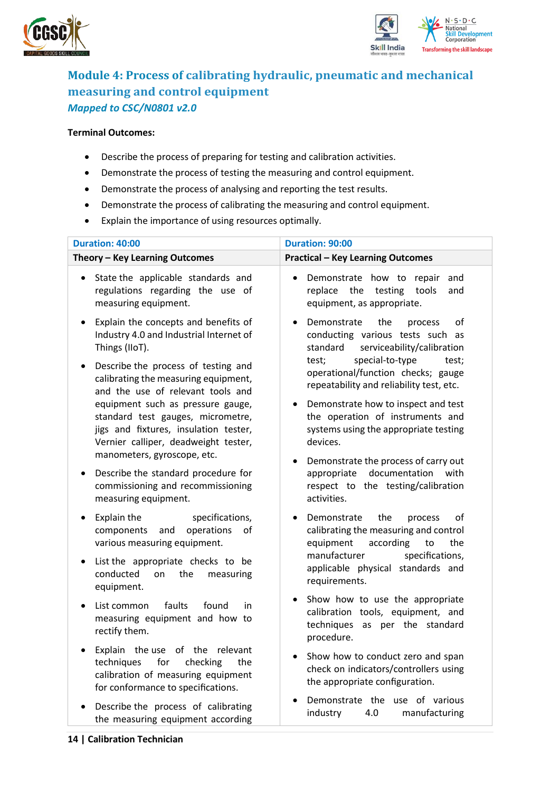



### <span id="page-13-0"></span>**Module 4: Process of calibrating hydraulic, pneumatic and mechanical measuring and control equipment** *Mapped to CSC/N0801 v2.0*

#### **Terminal Outcomes:**

- Describe the process of preparing for testing and calibration activities.
- Demonstrate the process of testing the measuring and control equipment.
- Demonstrate the process of analysing and reporting the test results.
- Demonstrate the process of calibrating the measuring and control equipment.
- Explain the importance of using resources optimally.

| Duration: 40:00                                                                                                                                                                        | <b>Duration: 90:00</b>                                                                                                            |
|----------------------------------------------------------------------------------------------------------------------------------------------------------------------------------------|-----------------------------------------------------------------------------------------------------------------------------------|
| Theory - Key Learning Outcomes                                                                                                                                                         | <b>Practical - Key Learning Outcomes</b>                                                                                          |
| State the applicable standards and<br>$\bullet$<br>regulations regarding the use of<br>measuring equipment.                                                                            | Demonstrate how to<br>repair<br>and<br>$\bullet$<br>replace<br>the<br>testing<br>tools<br>and<br>equipment, as appropriate.       |
| Explain the concepts and benefits of<br>$\bullet$<br>Industry 4.0 and Industrial Internet of<br>Things (IIoT).                                                                         | Demonstrate<br>the<br>οf<br>process<br>conducting various tests such as<br>standard<br>serviceability/calibration                 |
| Describe the process of testing and<br>calibrating the measuring equipment,<br>and the use of relevant tools and                                                                       | special-to-type<br>test;<br>test;<br>operational/function checks; gauge<br>repeatability and reliability test, etc.               |
| equipment such as pressure gauge,<br>standard test gauges, micrometre,<br>jigs and fixtures, insulation tester,<br>Vernier calliper, deadweight tester,<br>manometers, gyroscope, etc. | Demonstrate how to inspect and test<br>the operation of instruments and<br>systems using the appropriate testing<br>devices.      |
| Describe the standard procedure for<br>commissioning and recommissioning<br>measuring equipment.                                                                                       | Demonstrate the process of carry out<br>with<br>appropriate<br>documentation<br>respect to the testing/calibration<br>activities. |
| Explain the<br>specifications,<br>operations<br>components<br>and<br>οf<br>various measuring equipment.                                                                                | the<br>οf<br>Demonstrate<br>process<br>calibrating the measuring and control<br>equipment<br>according<br>the<br>to               |
| List the appropriate checks to be<br>$\bullet$<br>the<br>conducted<br>on<br>measuring<br>equipment.                                                                                    | manufacturer<br>specifications,<br>applicable physical standards and<br>requirements.                                             |
| List common<br>faults<br>found<br>in<br>$\bullet$<br>measuring equipment and how to<br>rectify them.                                                                                   | Show how to use the appropriate<br>calibration tools, equipment, and<br>techniques as per the standard<br>procedure.              |
| Explain the use of the<br>relevant<br>$\bullet$<br>techniques<br>checking<br>for<br>the<br>calibration of measuring equipment<br>for conformance to specifications.                    | Show how to conduct zero and span<br>$\bullet$<br>check on indicators/controllers using<br>the appropriate configuration.         |
| Describe the process of calibrating<br>the measuring equipment according                                                                                                               | Demonstrate the use of various<br>manufacturing<br>industry<br>4.0                                                                |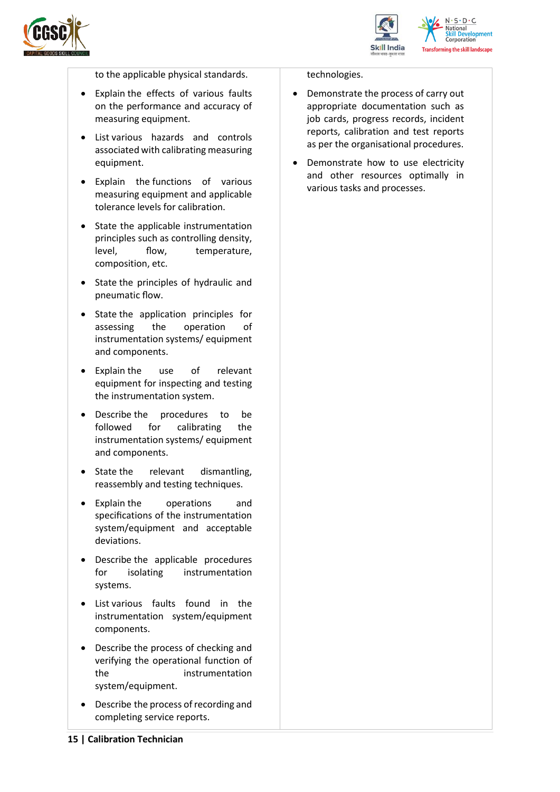



to the applicable physical standards.

- Explain the effects of various faults on the performance and accuracy of measuring equipment.
- List various hazards and controls associated with calibrating measuring equipment.
- Explain the functions of various measuring equipment and applicable tolerance levels for calibration.
- State the applicable instrumentation principles such as controlling density, level, flow, temperature, composition, etc.
- State the principles of hydraulic and pneumatic flow.
- State the application principles for assessing the operation of instrumentation systems/ equipment and components.
- Explain the use of relevant equipment for inspecting and testing the instrumentation system.
- Describe the procedures to be followed for calibrating the instrumentation systems/ equipment and components.
- State the relevant dismantling, reassembly and testing techniques.
- Explain the operations and specifications of the instrumentation system/equipment and acceptable deviations.
- Describe the applicable procedures for isolating instrumentation systems.
- List various faults found in the instrumentation system/equipment components.
- Describe the process of checking and verifying the operational function of the instrumentation system/equipment.
- Describe the process of recording and completing service reports.

#### technologies.

- Demonstrate the process of carry out appropriate documentation such as job cards, progress records, incident reports, calibration and test reports as per the organisational procedures.
- Demonstrate how to use electricity and other resources optimally in various tasks and processes.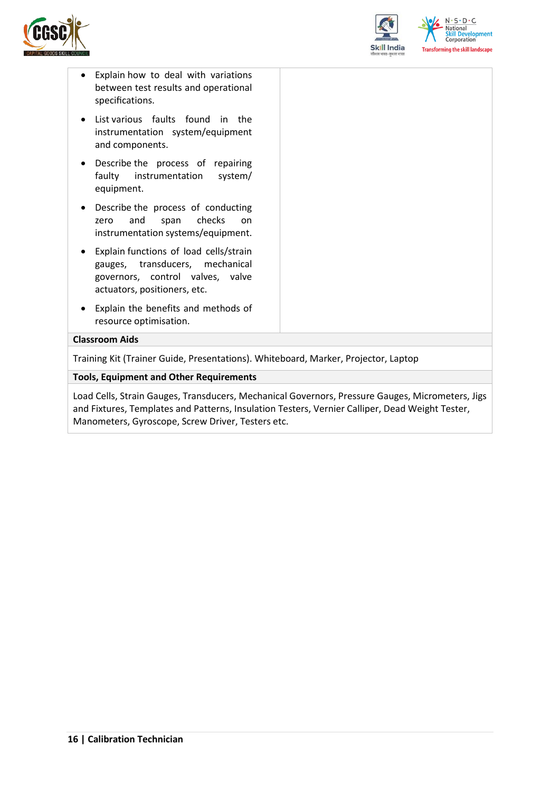



- Explain how to deal with variations between test results and operational specifications.
- List various faults found in the instrumentation system/equipment and components.
- Describe the process of repairing faulty instrumentation system/ equipment.
- Describe the process of conducting zero and span checks on instrumentation systems/equipment.
- Explain functions of load cells/strain gauges, transducers, mechanical governors, control valves, valve actuators, positioners, etc.
- Explain the benefits and methods of resource optimisation.

#### **Classroom Aids**

Training Kit (Trainer Guide, Presentations). Whiteboard, Marker, Projector, Laptop

#### **Tools, Equipment and Other Requirements**

Load Cells, Strain Gauges, Transducers, Mechanical Governors, Pressure Gauges, Micrometers, Jigs and Fixtures, Templates and Patterns, Insulation Testers, Vernier Calliper, Dead Weight Tester, Manometers, Gyroscope, Screw Driver, Testers etc.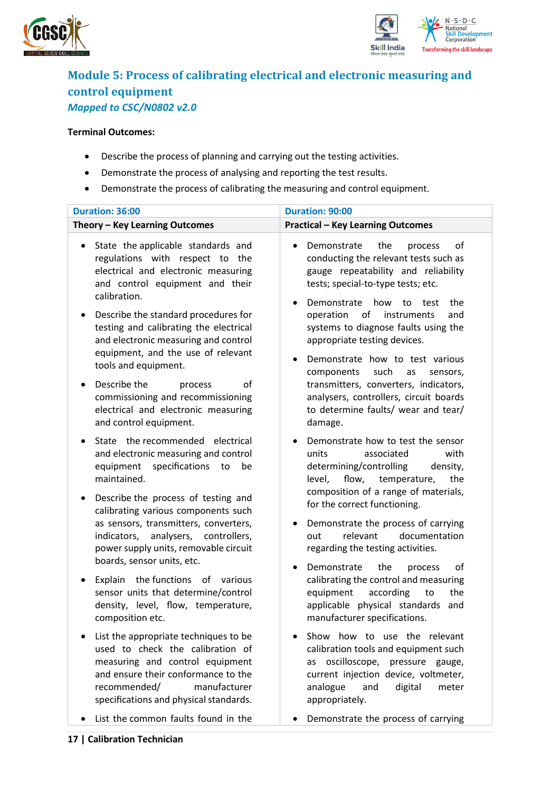



### <span id="page-16-0"></span>**Module 5: Process of calibrating electrical and electronic measuring and control equipment** *Mapped to CSC/N0802 v2.0*

#### **Terminal Outcomes:**

- Describe the process of planning and carrying out the testing activities.
- Demonstrate the process of analysing and reporting the test results.
- Demonstrate the process of calibrating the measuring and control equipment.

| Duration: 36:00                                                                                                                                                                                                                                                                                                                      | Duration: 90:00                                                                                                                                                                                                                                                                                                                                                                                 |  |  |
|--------------------------------------------------------------------------------------------------------------------------------------------------------------------------------------------------------------------------------------------------------------------------------------------------------------------------------------|-------------------------------------------------------------------------------------------------------------------------------------------------------------------------------------------------------------------------------------------------------------------------------------------------------------------------------------------------------------------------------------------------|--|--|
| Theory - Key Learning Outcomes                                                                                                                                                                                                                                                                                                       | <b>Practical - Key Learning Outcomes</b>                                                                                                                                                                                                                                                                                                                                                        |  |  |
| State the applicable standards and<br>regulations with respect to the<br>electrical and electronic measuring<br>and control equipment and their<br>calibration.<br>Describe the standard procedures for<br>٠<br>testing and calibrating the electrical<br>and electronic measuring and control<br>equipment, and the use of relevant | Demonstrate<br>the<br>of<br>process<br>$\bullet$<br>conducting the relevant tests such as<br>gauge repeatability and reliability<br>tests; special-to-type tests; etc.<br>how<br>the<br>Demonstrate<br>to<br>test<br>$\bullet$<br>of<br>operation<br>instruments<br>and<br>systems to diagnose faults using the<br>appropriate testing devices.<br>Demonstrate how to test various<br>$\bullet$ |  |  |
| tools and equipment.<br>Describe the<br>οf<br>process<br>٠<br>commissioning and recommissioning<br>electrical and electronic measuring<br>and control equipment.                                                                                                                                                                     | components<br>such<br>as<br>sensors,<br>transmitters, converters, indicators,<br>analysers, controllers, circuit boards<br>to determine faults/ wear and tear/<br>damage.                                                                                                                                                                                                                       |  |  |
| State the recommended electrical<br>$\bullet$<br>and electronic measuring and control<br>specifications<br>equipment<br>to<br>be<br>maintained.                                                                                                                                                                                      | Demonstrate how to test the sensor<br>$\bullet$<br>units<br>associated<br>with<br>determining/controlling<br>density,<br>flow, temperature,<br>level,<br>the<br>composition of a range of materials,                                                                                                                                                                                            |  |  |
| Describe the process of testing and<br>٠<br>calibrating various components such<br>as sensors, transmitters, converters,<br>analysers, controllers,<br>indicators,<br>power supply units, removable circuit<br>boards, sensor units, etc.                                                                                            | for the correct functioning.<br>Demonstrate the process of carrying<br>٠<br>relevant<br>documentation<br>out<br>regarding the testing activities.<br>Demonstrate<br>of                                                                                                                                                                                                                          |  |  |
| Explain the functions of various<br>٠<br>sensor units that determine/control<br>density, level, flow, temperature,<br>composition etc.                                                                                                                                                                                               | the<br>process<br>$\bullet$<br>calibrating the control and measuring<br>according<br>equipment<br>to<br>the<br>applicable physical standards and<br>manufacturer specifications.                                                                                                                                                                                                                |  |  |
| List the appropriate techniques to be<br>used to check the calibration of<br>measuring and control equipment<br>and ensure their conformance to the<br>recommended/<br>manufacturer<br>specifications and physical standards.                                                                                                        | Show how to use the relevant<br>calibration tools and equipment such<br>as oscilloscope, pressure gauge,<br>current injection device, voltmeter,<br>analogue<br>and<br>digital<br>meter<br>appropriately.                                                                                                                                                                                       |  |  |
| List the common faults found in the                                                                                                                                                                                                                                                                                                  | Demonstrate the process of carrying                                                                                                                                                                                                                                                                                                                                                             |  |  |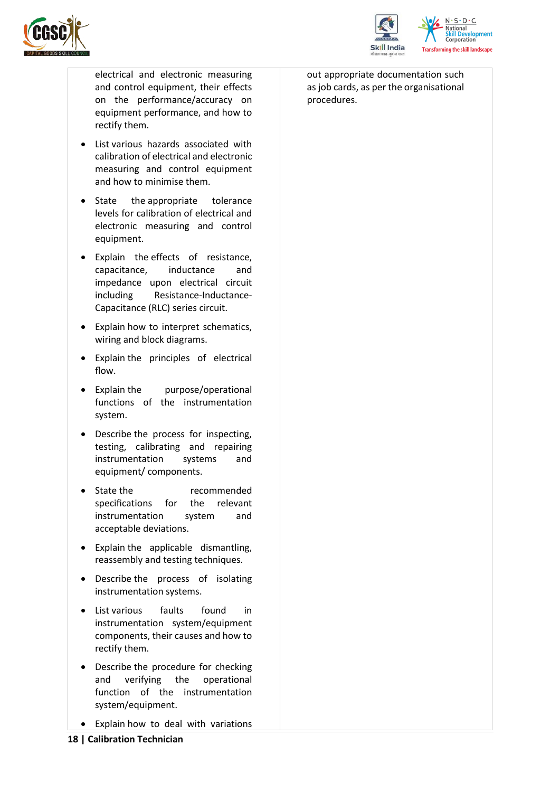



electrical and electronic measuring and control equipment, their effects on the performance/accuracy on equipment performance, and how to rectify them.

- List various hazards associated with calibration of electrical and electronic measuring and control equipment and how to minimise them.
- State the appropriate tolerance levels for calibration of electrical and electronic measuring and control equipment.
- Explain the effects of resistance, capacitance, inductance and impedance upon electrical circuit including Resistance-Inductance-Capacitance (RLC) series circuit.
- Explain how to interpret schematics, wiring and block diagrams.
- Explain the principles of electrical flow.
- Explain the purpose/operational functions of the instrumentation system.
- Describe the process for inspecting, testing, calibrating and repairing instrumentation systems and equipment/ components.
- State the recommended specifications for the relevant instrumentation system and acceptable deviations.
- Explain the applicable dismantling, reassembly and testing techniques.
- Describe the process of isolating instrumentation systems.
- List various faults found in instrumentation system/equipment components, their causes and how to rectify them.
- Describe the procedure for checking<br>and verifying the operational and verifying the operational function of the instrumentation system/equipment.
- Explain how to deal with variations

out appropriate documentation such as job cards, as per the organisational procedures.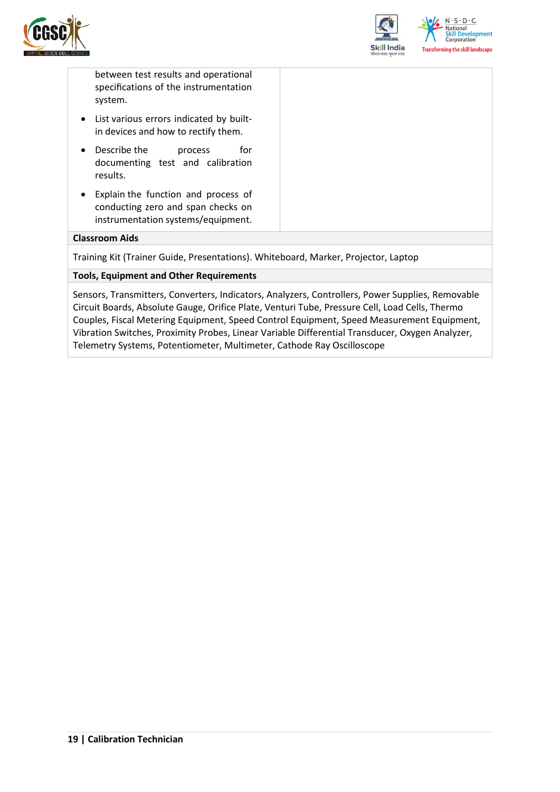



between test results and operational specifications of the instrumentation system.

- List various errors indicated by builtin devices and how to rectify them.
- Describe the process for documenting test and calibration results.
- Explain the function and process of conducting zero and span checks on instrumentation systems/equipment.

#### **Classroom Aids**

Training Kit (Trainer Guide, Presentations). Whiteboard, Marker, Projector, Laptop

#### **Tools, Equipment and Other Requirements**

Sensors, Transmitters, Converters, Indicators, Analyzers, Controllers, Power Supplies, Removable Circuit Boards, Absolute Gauge, Orifice Plate, Venturi Tube, Pressure Cell, Load Cells, Thermo Couples, Fiscal Metering Equipment, Speed Control Equipment, Speed Measurement Equipment, Vibration Switches, Proximity Probes, Linear Variable Differential Transducer, Oxygen Analyzer, Telemetry Systems, Potentiometer, Multimeter, Cathode Ray Oscilloscope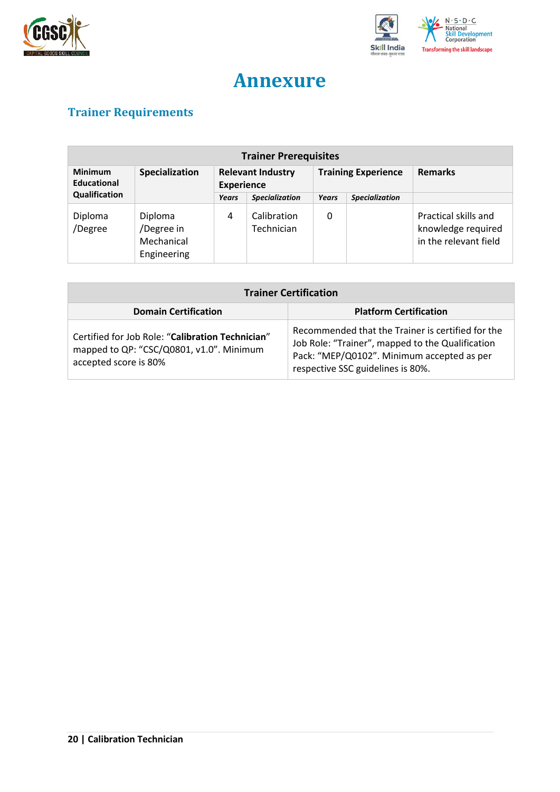



## **Annexure**

## <span id="page-19-1"></span><span id="page-19-0"></span>**Trainer Requirements**

| <b>Trainer Prerequisites</b>         |                                                    |                                               |                           |                            |                       |                                                                     |
|--------------------------------------|----------------------------------------------------|-----------------------------------------------|---------------------------|----------------------------|-----------------------|---------------------------------------------------------------------|
| <b>Minimum</b><br><b>Educational</b> | Specialization                                     | <b>Relevant Industry</b><br><b>Experience</b> |                           | <b>Training Experience</b> |                       | <b>Remarks</b>                                                      |
| Qualification                        |                                                    | Years                                         | <b>Specialization</b>     | Years                      | <b>Specialization</b> |                                                                     |
| Diploma<br>/Degree                   | Diploma<br>/Degree in<br>Mechanical<br>Engineering | 4                                             | Calibration<br>Technician | 0                          |                       | Practical skills and<br>knowledge required<br>in the relevant field |

| <b>Trainer Certification</b>                                                                                          |                                                                                                                                                                                          |  |  |
|-----------------------------------------------------------------------------------------------------------------------|------------------------------------------------------------------------------------------------------------------------------------------------------------------------------------------|--|--|
| <b>Domain Certification</b>                                                                                           | <b>Platform Certification</b>                                                                                                                                                            |  |  |
| Certified for Job Role: "Calibration Technician"<br>mapped to QP: "CSC/Q0801, v1.0". Minimum<br>accepted score is 80% | Recommended that the Trainer is certified for the<br>Job Role: "Trainer", mapped to the Qualification<br>Pack: "MEP/Q0102". Minimum accepted as per<br>respective SSC guidelines is 80%. |  |  |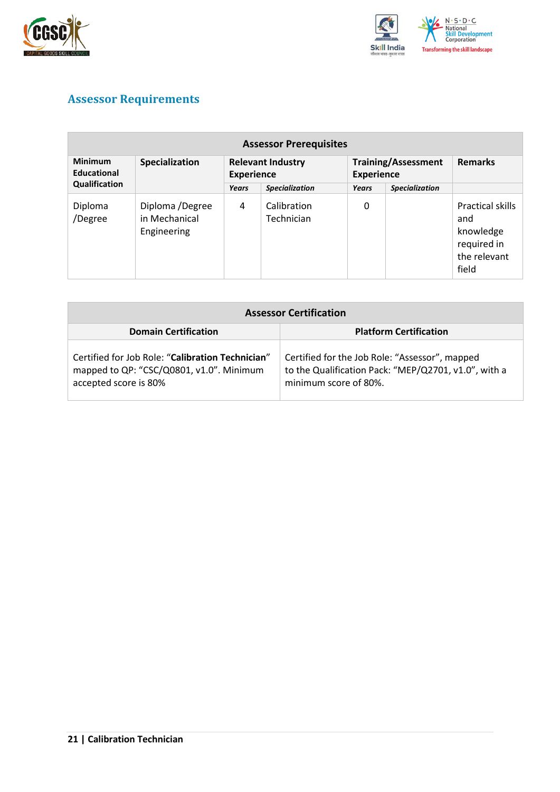



## <span id="page-20-0"></span>**Assessor Requirements**

| <b>Assessor Prerequisites</b>                  |                                                 |                                               |                           |                                                 |                       |                                                                              |  |
|------------------------------------------------|-------------------------------------------------|-----------------------------------------------|---------------------------|-------------------------------------------------|-----------------------|------------------------------------------------------------------------------|--|
| <b>Minimum</b><br>Educational<br>Qualification | Specialization                                  | <b>Relevant Industry</b><br><b>Experience</b> |                           | <b>Training/Assessment</b><br><b>Experience</b> |                       | <b>Remarks</b>                                                               |  |
|                                                |                                                 | Years                                         | <b>Specialization</b>     | Years                                           | <b>Specialization</b> |                                                                              |  |
| Diploma<br>/Degree                             | Diploma /Degree<br>in Mechanical<br>Engineering | 4                                             | Calibration<br>Technician | 0                                               |                       | Practical skills<br>and<br>knowledge<br>required in<br>the relevant<br>field |  |

| <b>Assessor Certification</b>                                                                                         |                                                                                                                                 |  |  |  |
|-----------------------------------------------------------------------------------------------------------------------|---------------------------------------------------------------------------------------------------------------------------------|--|--|--|
| <b>Domain Certification</b>                                                                                           | <b>Platform Certification</b>                                                                                                   |  |  |  |
| Certified for Job Role: "Calibration Technician"<br>mapped to QP: "CSC/Q0801, v1.0". Minimum<br>accepted score is 80% | Certified for the Job Role: "Assessor", mapped<br>to the Qualification Pack: "MEP/Q2701, v1.0", with a<br>minimum score of 80%. |  |  |  |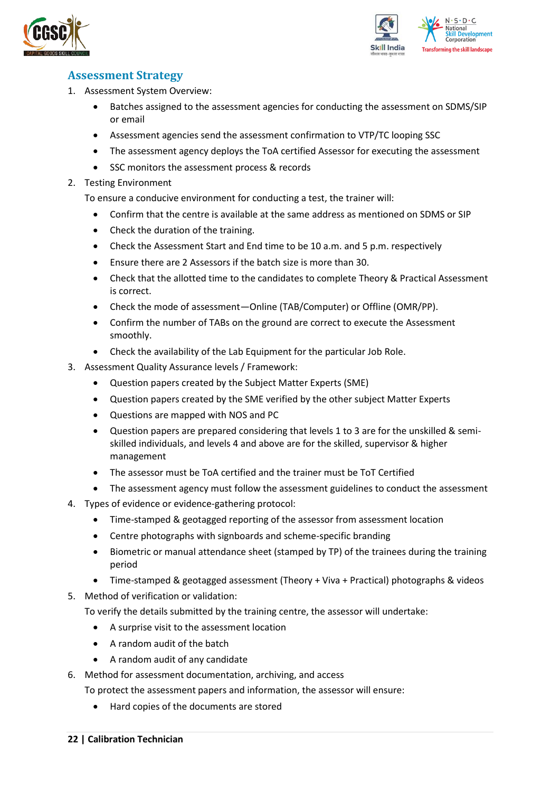



### <span id="page-21-0"></span>**Assessment Strategy**

- 1. Assessment System Overview:
	- Batches assigned to the assessment agencies for conducting the assessment on SDMS/SIP or email
	- Assessment agencies send the assessment confirmation to VTP/TC looping SSC
	- The assessment agency deploys the ToA certified Assessor for executing the assessment
	- SSC monitors the assessment process & records
- 2. Testing Environment

To ensure a conducive environment for conducting a test, the trainer will:

- Confirm that the centre is available at the same address as mentioned on SDMS or SIP
- Check the duration of the training.
- Check the Assessment Start and End time to be 10 a.m. and 5 p.m. respectively
- Ensure there are 2 Assessors if the batch size is more than 30.
- Check that the allotted time to the candidates to complete Theory & Practical Assessment is correct.
- Check the mode of assessment—Online (TAB/Computer) or Offline (OMR/PP).
- Confirm the number of TABs on the ground are correct to execute the Assessment smoothly.
- Check the availability of the Lab Equipment for the particular Job Role.
- 3. Assessment Quality Assurance levels / Framework:
	- Question papers created by the Subject Matter Experts (SME)
	- Question papers created by the SME verified by the other subject Matter Experts
	- Questions are mapped with NOS and PC
	- Question papers are prepared considering that levels 1 to 3 are for the unskilled & semiskilled individuals, and levels 4 and above are for the skilled, supervisor & higher management
	- The assessor must be ToA certified and the trainer must be ToT Certified
	- The assessment agency must follow the assessment guidelines to conduct the assessment
- 4. Types of evidence or evidence-gathering protocol:
	- Time-stamped & geotagged reporting of the assessor from assessment location
	- Centre photographs with signboards and scheme-specific branding
	- Biometric or manual attendance sheet (stamped by TP) of the trainees during the training period
	- Time-stamped & geotagged assessment (Theory + Viva + Practical) photographs & videos
- 5. Method of verification or validation:

To verify the details submitted by the training centre, the assessor will undertake:

- A surprise visit to the assessment location
- A random audit of the batch
- A random audit of any candidate
- 6. Method for assessment documentation, archiving, and access
	- To protect the assessment papers and information, the assessor will ensure:
		- Hard copies of the documents are stored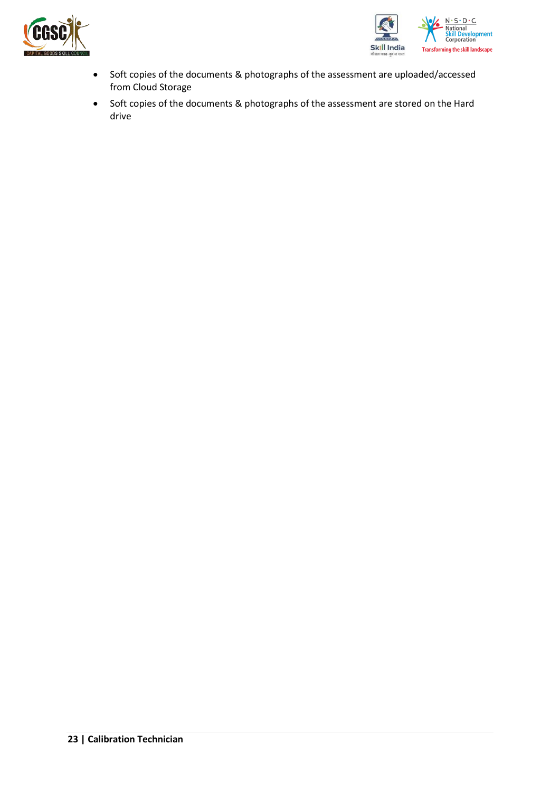



- Soft copies of the documents & photographs of the assessment are uploaded/accessed from Cloud Storage
- Soft copies of the documents & photographs of the assessment are stored on the Hard drive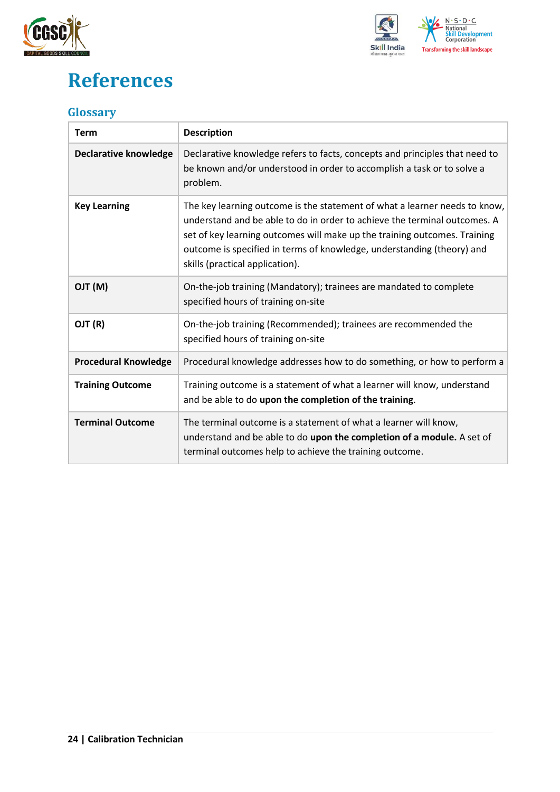



## <span id="page-23-0"></span>**References**

### <span id="page-23-1"></span>**Glossary**

| <b>Term</b>                  | <b>Description</b>                                                                                                                                                                                                                                                                                                                                |
|------------------------------|---------------------------------------------------------------------------------------------------------------------------------------------------------------------------------------------------------------------------------------------------------------------------------------------------------------------------------------------------|
| <b>Declarative knowledge</b> | Declarative knowledge refers to facts, concepts and principles that need to<br>be known and/or understood in order to accomplish a task or to solve a<br>problem.                                                                                                                                                                                 |
| <b>Key Learning</b>          | The key learning outcome is the statement of what a learner needs to know,<br>understand and be able to do in order to achieve the terminal outcomes. A<br>set of key learning outcomes will make up the training outcomes. Training<br>outcome is specified in terms of knowledge, understanding (theory) and<br>skills (practical application). |
| (M) TLO                      | On-the-job training (Mandatory); trainees are mandated to complete<br>specified hours of training on-site                                                                                                                                                                                                                                         |
| OJT (R)                      | On-the-job training (Recommended); trainees are recommended the<br>specified hours of training on-site                                                                                                                                                                                                                                            |
| <b>Procedural Knowledge</b>  | Procedural knowledge addresses how to do something, or how to perform a                                                                                                                                                                                                                                                                           |
| <b>Training Outcome</b>      | Training outcome is a statement of what a learner will know, understand<br>and be able to do upon the completion of the training.                                                                                                                                                                                                                 |
| <b>Terminal Outcome</b>      | The terminal outcome is a statement of what a learner will know,<br>understand and be able to do upon the completion of a module. A set of<br>terminal outcomes help to achieve the training outcome.                                                                                                                                             |